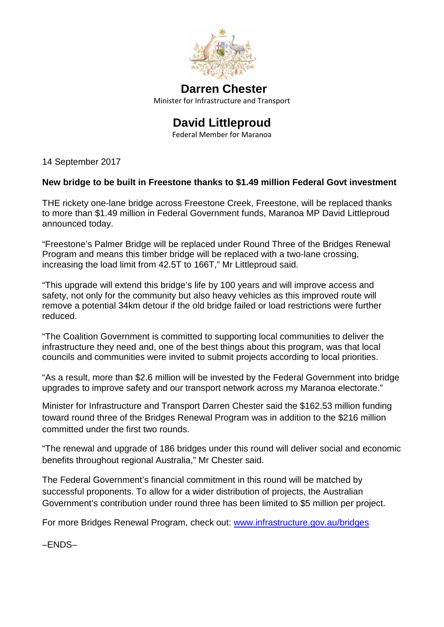

## **Darren Chester** Minister for Infrastructure and Transport

## **David Littleproud**

Federal Member for Maranoa

14 September 2017

## **New bridge to be built in Freestone thanks to \$1.49 million Federal Govt investment**

THE rickety one-lane bridge across Freestone Creek, Freestone, will be replaced thanks to more than \$1.49 million in Federal Government funds, Maranoa MP David Littleproud announced today.

"Freestone's Palmer Bridge will be replaced under Round Three of the Bridges Renewal Program and means this timber bridge will be replaced with a two-lane crossing, increasing the load limit from 42.5T to 166T," Mr Littleproud said.

"This upgrade will extend this bridge's life by 100 years and will improve access and safety, not only for the community but also heavy vehicles as this improved route will remove a potential 34km detour if the old bridge failed or load restrictions were further reduced.

"The Coalition Government is committed to supporting local communities to deliver the infrastructure they need and, one of the best things about this program, was that local councils and communities were invited to submit projects according to local priorities.

"As a result, more than \$2.6 million will be invested by the Federal Government into bridge upgrades to improve safety and our transport network across my Maranoa electorate."

Minister for Infrastructure and Transport Darren Chester said the \$162.53 million funding toward round three of the Bridges Renewal Program was in addition to the \$216 million committed under the first two rounds.

"The renewal and upgrade of 186 bridges under this round will deliver social and economic benefits throughout regional Australia," Mr Chester said.

The Federal Government's financial commitment in this round will be matched by successful proponents. To allow for a wider distribution of projects, the Australian Government's contribution under round three has been limited to \$5 million per project.

For more Bridges Renewal Program, check out: [www.infrastructure.gov.au/bridges](http://www.infrastructure.gov.au/bridges)

–ENDS–